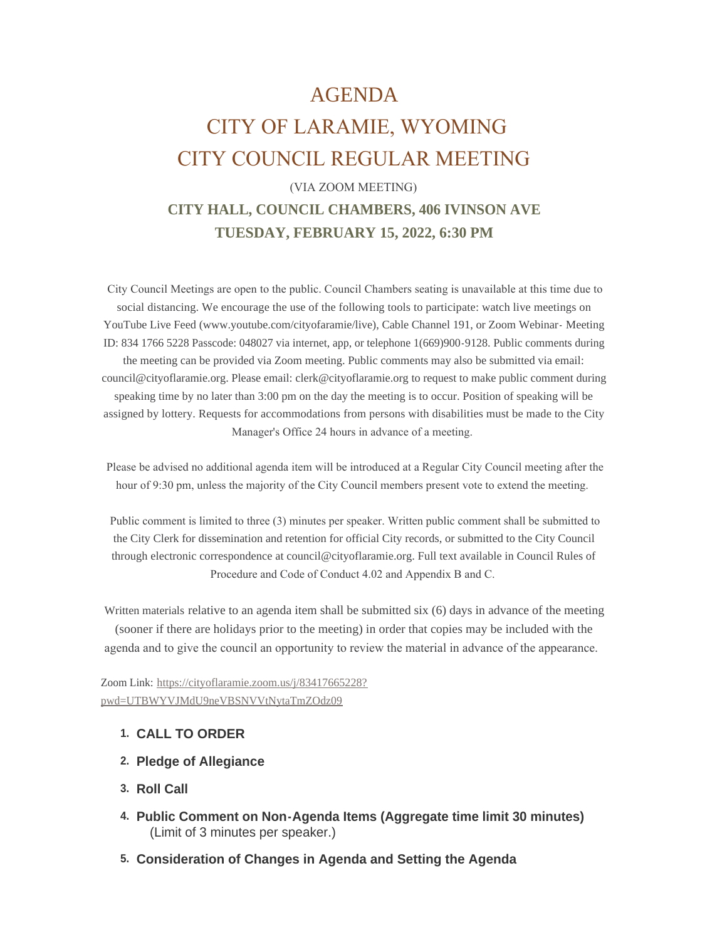## AGENDA

# CITY OF LARAMIE, WYOMING CITY COUNCIL REGULAR MEETING

## (VIA ZOOM MEETING)

## **CITY HALL, COUNCIL CHAMBERS, 406 IVINSON AVE TUESDAY, FEBRUARY 15, 2022, 6:30 PM**

 City Council Meetings are open to the public. Council Chambers seating is unavailable at this time due to social distancing. We encourage the use of the following tools to participate: watch live meetings on YouTube Live Feed (www.youtube.com/cityofaramie/live), Cable Channel 191, or Zoom Webinar- Meeting ID: 834 1766 5228 Passcode: 048027 via internet, app, or telephone 1(669)900-9128. Public comments during the meeting can be provided via Zoom meeting. Public comments may also be submitted via email: council@cityoflaramie.org. Please email: clerk@cityoflaramie.org to request to make public comment during speaking time by no later than 3:00 pm on the day the meeting is to occur. Position of speaking will be assigned by lottery. Requests for accommodations from persons with disabilities must be made to the City Manager's Office 24 hours in advance of a meeting.

 Please be advised no additional agenda item will be introduced at a Regular City Council meeting after the hour of 9:30 pm, unless the majority of the City Council members present vote to extend the meeting.

 Public comment is limited to three (3) minutes per speaker. Written public comment shall be submitted to the City Clerk for dissemination and retention for official City records, or submitted to the City Council through electronic correspondence at council@cityoflaramie.org. Full text available in Council Rules of Procedure and Code of Conduct 4.02 and Appendix B and C.

Written materials relative to an agenda item shall be submitted six (6) days in advance of the meeting (sooner if there are holidays prior to the meeting) in order that copies may be included with the agenda and to give the council an opportunity to review the material in advance of the appearance.

Zoom Link: [https://cityoflaramie.zoom.us/j/83417665228?](https://cityoflaramie.zoom.us/j/83417665228?pwd=UTBWYVJMdU9neVBSNVVtNytaTmZOdz09) pwd=UTBWYVJMdU9neVBSNVVtNytaTmZOdz09

#### **CALL TO ORDER 1.**

- **Pledge of Allegiance 2.**
- **Roll Call 3.**
- **Public Comment on Non-Agenda Items (Aggregate time limit 30 minutes) 4.** (Limit of 3 minutes per speaker.)
- **Consideration of Changes in Agenda and Setting the Agenda 5.**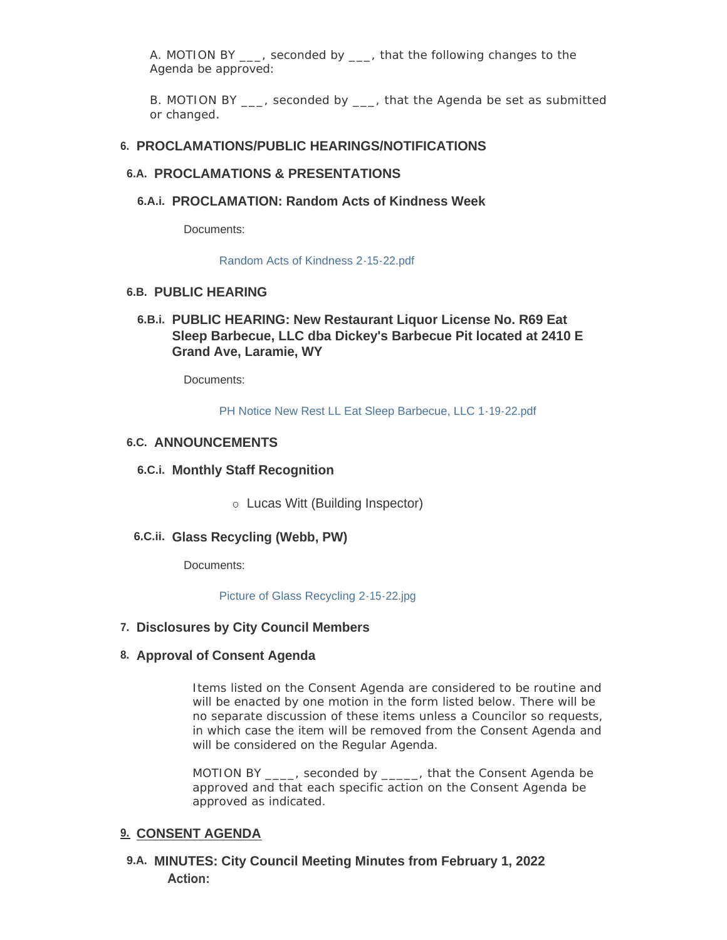A. MOTION BY \_\_\_, seconded by \_\_\_, that the following changes to the Agenda be approved:

B. MOTION BY , seconded by , that the Agenda be set as submitted or changed.

#### **PROCLAMATIONS/PUBLIC HEARINGS/NOTIFICATIONS 6.**

#### **PROCLAMATIONS & PRESENTATIONS 6.A.**

**PROCLAMATION: Random Acts of Kindness Week 6.A.i.**

Documents:

#### [Random Acts of Kindness 2-15-22.pdf](https://cityoflaramie.org/AgendaCenter/ViewFile/Item/11855?fileID=15908)

#### **PUBLIC HEARING 6.B.**

#### **PUBLIC HEARING: New Restaurant Liquor License No. R69 Eat 6.B.i. Sleep Barbecue, LLC dba Dickey's Barbecue Pit located at 2410 E Grand Ave, Laramie, WY**

Documents:

[PH Notice New Rest LL Eat Sleep Barbecue, LLC 1-19-22.pdf](https://cityoflaramie.org/AgendaCenter/ViewFile/Item/11859?fileID=15913)

#### **ANNOUNCEMENTS 6.C.**

#### **Monthly Staff Recognition 6.C.i.**

o Lucas Witt (Building Inspector)

#### **Glass Recycling (Webb, PW) 6.C.ii.**

Documents:

[Picture of Glass Recycling 2-15-22.jpg](https://cityoflaramie.org/AgendaCenter/ViewFile/Item/11895?fileID=15995)

**Disclosures by City Council Members 7.**

#### **Approval of Consent Agenda 8.**

Items listed on the Consent Agenda are considered to be routine and will be enacted by one motion in the form listed below. There will be no separate discussion of these items unless a Councilor so requests, in which case the item will be removed from the Consent Agenda and will be considered on the Regular Agenda.

MOTION BY disconded by that the Consent Agenda be approved and that each specific action on the Consent Agenda be approved as indicated.

#### **CONSENT AGENDA 9.**

**MINUTES: City Council Meeting Minutes from February 1, 2022 9.A. Action:**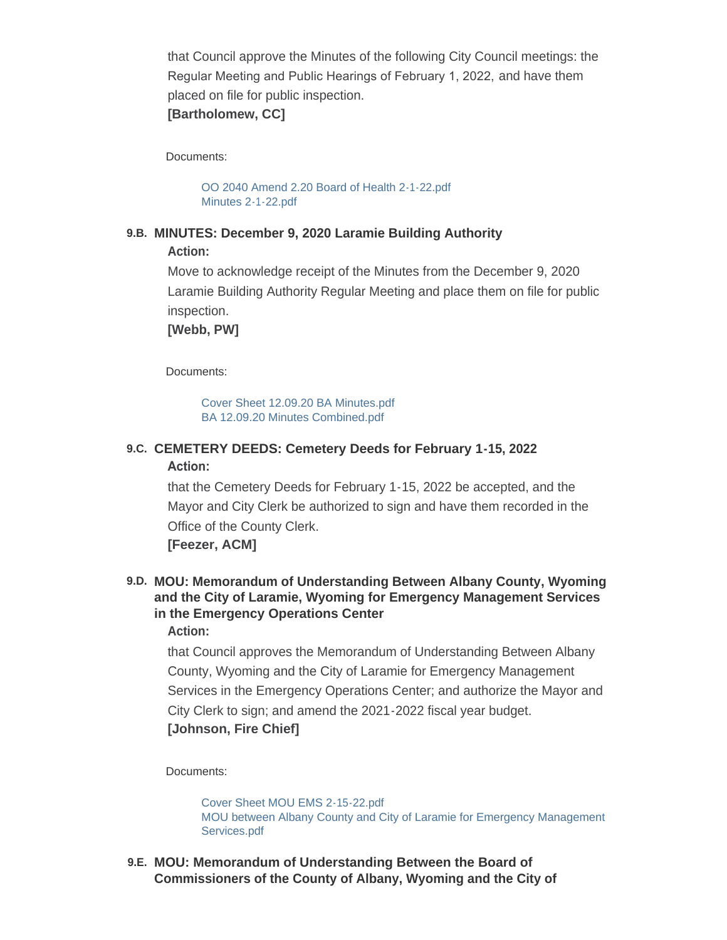that Council approve the Minutes of the following City Council meetings: the Regular Meeting and Public Hearings of February 1, 2022, and have them placed on file for public inspection.

### **[Bartholomew, CC]**

Documents:

[OO 2040 Amend 2.20 Board of Health 2-1-22.pdf](https://cityoflaramie.org/AgendaCenter/ViewFile/Item/11874?fileID=15920) [Minutes 2-1-22.pdf](https://cityoflaramie.org/AgendaCenter/ViewFile/Item/11874?fileID=15921)

#### **MINUTES: December 9, 2020 Laramie Building Authority 9.B.**

**Action:**

Move to acknowledge receipt of the Minutes from the December 9, 2020 Laramie Building Authority Regular Meeting and place them on file for public inspection.

**[Webb, PW]**

Documents:

[Cover Sheet 12.09.20 BA Minutes.pdf](https://cityoflaramie.org/AgendaCenter/ViewFile/Item/11883?fileID=15935) [BA 12.09.20 Minutes Combined.pdf](https://cityoflaramie.org/AgendaCenter/ViewFile/Item/11883?fileID=15936)

#### **CEMETERY DEEDS: Cemetery Deeds for February 1-15, 2022 9.C.**

#### **Action:**

that the Cemetery Deeds for February 1-15, 2022 be accepted, and the Mayor and City Clerk be authorized to sign and have them recorded in the Office of the County Clerk.

**[Feezer, ACM]**

#### **MOU: Memorandum of Understanding Between Albany County, Wyoming 9.D. and the City of Laramie, Wyoming for Emergency Management Services in the Emergency Operations Center Action:**

that Council approves the Memorandum of Understanding Between Albany County, Wyoming and the City of Laramie for Emergency Management Services in the Emergency Operations Center; and authorize the Mayor and City Clerk to sign; and amend the 2021-2022 fiscal year budget. **[Johnson, Fire Chief]**

#### Documents:

[Cover Sheet MOU EMS 2-15-22.pdf](https://cityoflaramie.org/AgendaCenter/ViewFile/Item/11888?fileID=15992) [MOU between Albany County and City of Laramie for Emergency Management](https://cityoflaramie.org/AgendaCenter/ViewFile/Item/11888?fileID=15991)  Services.pdf

**MOU: Memorandum of Understanding Between the Board of 9.E. Commissioners of the County of Albany, Wyoming and the City of**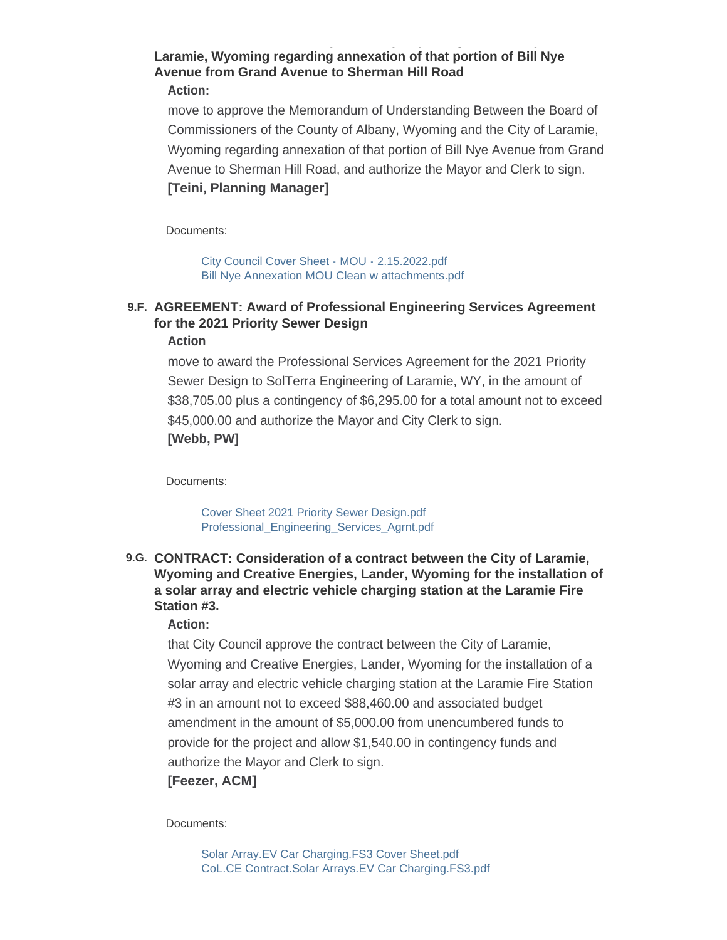#### **Laramie, Wyoming regarding annexation of that portion of Bill Nye Avenue from Grand Avenue to Sherman Hill Road Action:**

**Commissioners of the County of Albany, Wyoming and the City of** 

move to approve the Memorandum of Understanding Between the Board of Commissioners of the County of Albany, Wyoming and the City of Laramie, Wyoming regarding annexation of that portion of Bill Nye Avenue from Grand Avenue to Sherman Hill Road, and authorize the Mayor and Clerk to sign. **[Teini, Planning Manager]**

Documents:

[City Council Cover Sheet - MOU - 2.15.2022.pdf](https://cityoflaramie.org/AgendaCenter/ViewFile/Item/11856?fileID=15909) [Bill Nye Annexation MOU Clean w attachments.pdf](https://cityoflaramie.org/AgendaCenter/ViewFile/Item/11856?fileID=15910)

## **AGREEMENT: Award of Professional Engineering Services Agreement 9.F. for the 2021 Priority Sewer Design**

#### **Action**

move to award the Professional Services Agreement for the 2021 Priority Sewer Design to SolTerra Engineering of Laramie, WY, in the amount of \$38,705.00 plus a contingency of \$6,295.00 for a total amount not to exceed \$45,000.00 and authorize the Mayor and City Clerk to sign. **[Webb, PW]**

Documents:

[Cover Sheet 2021 Priority Sewer Design.pdf](https://cityoflaramie.org/AgendaCenter/ViewFile/Item/11884?fileID=15937) [Professional\\_Engineering\\_Services\\_Agrnt.pdf](https://cityoflaramie.org/AgendaCenter/ViewFile/Item/11884?fileID=15938)

#### **CONTRACT: Consideration of a contract between the City of Laramie, 9.G. Wyoming and Creative Energies, Lander, Wyoming for the installation of a solar array and electric vehicle charging station at the Laramie Fire Station #3.**

#### **Action:**

that City Council approve the contract between the City of Laramie, Wyoming and Creative Energies, Lander, Wyoming for the installation of a solar array and electric vehicle charging station at the Laramie Fire Station #3 in an amount not to exceed \$88,460.00 and associated budget amendment in the amount of \$5,000.00 from unencumbered funds to provide for the project and allow \$1,540.00 in contingency funds and authorize the Mayor and Clerk to sign.

### **[Feezer, ACM]**

Documents:

[Solar Array.EV Car Charging.FS3 Cover Sheet.pdf](https://cityoflaramie.org/AgendaCenter/ViewFile/Item/11852?fileID=15900) [CoL.CE Contract.Solar Arrays.EV Car Charging.FS3.pdf](https://cityoflaramie.org/AgendaCenter/ViewFile/Item/11852?fileID=15901)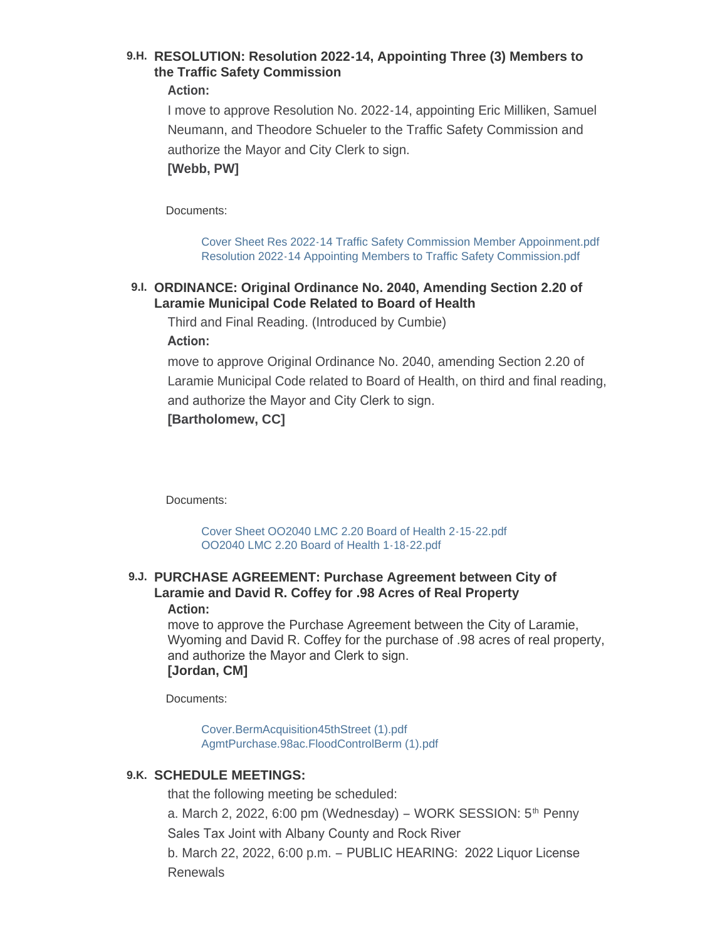## **RESOLUTION: Resolution 2022-14, Appointing Three (3) Members to 9.H. the Traffic Safety Commission**

#### **Action:**

I move to approve Resolution No. 2022-14, appointing Eric Milliken, Samuel Neumann, and Theodore Schueler to the Traffic Safety Commission and authorize the Mayor and City Clerk to sign. **[Webb, PW]**

Documents:

[Cover Sheet Res 2022-14 Traffic Safety Commission Member Appoinment.pdf](https://cityoflaramie.org/AgendaCenter/ViewFile/Item/11885?fileID=15939) [Resolution 2022-14 Appointing Members to Traffic Safety Commission.pdf](https://cityoflaramie.org/AgendaCenter/ViewFile/Item/11885?fileID=15940)

#### **ORDINANCE: Original Ordinance No. 2040, Amending Section 2.20 of 9.I. Laramie Municipal Code Related to Board of Health**

Third and Final Reading. (Introduced by Cumbie) **Action:** 

move to approve Original Ordinance No. 2040, amending Section 2.20 of Laramie Municipal Code related to Board of Health, on third and final reading, and authorize the Mayor and City Clerk to sign. **[Bartholomew, CC]**

Documents:

[Cover Sheet OO2040 LMC 2.20 Board of Health 2-15-22.pdf](https://cityoflaramie.org/AgendaCenter/ViewFile/Item/11858?fileID=15912) [OO2040 LMC 2.20 Board of Health 1-18-22.pdf](https://cityoflaramie.org/AgendaCenter/ViewFile/Item/11858?fileID=15911)

#### **PURCHASE AGREEMENT: Purchase Agreement between City of 9.J. Laramie and David R. Coffey for .98 Acres of Real Property Action:**

move to approve the Purchase Agreement between the City of Laramie, Wyoming and David R. Coffey for the purchase of .98 acres of real property, and authorize the Mayor and Clerk to sign. **[Jordan, CM]**

Documents:

[Cover.BermAcquisition45thStreet \(1\).pdf](https://cityoflaramie.org/AgendaCenter/ViewFile/Item/11893?fileID=16004) [AgmtPurchase.98ac.FloodControlBerm \(1\).pdf](https://cityoflaramie.org/AgendaCenter/ViewFile/Item/11893?fileID=16005)

#### **SCHEDULE MEETINGS: 9.K.**

that the following meeting be scheduled:

a. March 2, 2022, 6:00 pm (Wednesday) – WORK SESSION: 5<sup>th</sup> Penny

Sales Tax Joint with Albany County and Rock River

b. March 22, 2022, 6:00 p.m. – PUBLIC HEARING: 2022 Liquor License Renewals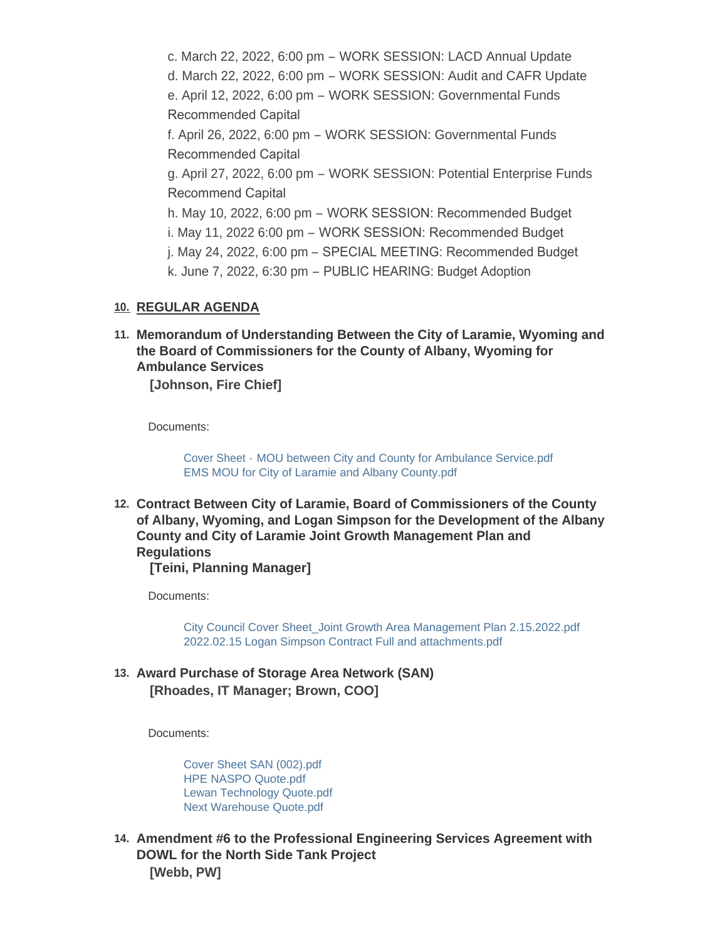c. March 22, 2022, 6:00 pm – WORK SESSION: LACD Annual Update d. March 22, 2022, 6:00 pm – WORK SESSION: Audit and CAFR Update e. April 12, 2022, 6:00 pm – WORK SESSION: Governmental Funds Recommended Capital f. April 26, 2022, 6:00 pm – WORK SESSION: Governmental Funds Recommended Capital g. April 27, 2022, 6:00 pm – WORK SESSION: Potential Enterprise Funds Recommend Capital h. May 10, 2022, 6:00 pm – WORK SESSION: Recommended Budget i. May 11, 2022 6:00 pm – WORK SESSION: Recommended Budget j. May 24, 2022, 6:00 pm – SPECIAL MEETING: Recommended Budget k. June 7, 2022, 6:30 pm – PUBLIC HEARING: Budget Adoption

#### **REGULAR AGENDA 10.**

**Memorandum of Understanding Between the City of Laramie, Wyoming and 11. the Board of Commissioners for the County of Albany, Wyoming for Ambulance Services**

**[Johnson, Fire Chief]**

Documents:

Cover Sheet - [MOU between City and County for Ambulance Service.pdf](https://cityoflaramie.org/AgendaCenter/ViewFile/Item/11886?fileID=15941) [EMS MOU for City of Laramie and Albany County.pdf](https://cityoflaramie.org/AgendaCenter/ViewFile/Item/11886?fileID=15942)

**Contract Between City of Laramie, Board of Commissioners of the County 12. of Albany, Wyoming, and Logan Simpson for the Development of the Albany County and City of Laramie Joint Growth Management Plan and Regulations**

**[Teini, Planning Manager]**

Documents:

[City Council Cover Sheet\\_Joint Growth Area Management Plan 2.15.2022.pdf](https://cityoflaramie.org/AgendaCenter/ViewFile/Item/11881?fileID=15989) [2022.02.15 Logan Simpson Contract Full and attachments.pdf](https://cityoflaramie.org/AgendaCenter/ViewFile/Item/11881?fileID=15925)

**Award Purchase of Storage Area Network (SAN) 13. [Rhoades, IT Manager; Brown, COO]**

Documents:

[Cover Sheet SAN \(002\).pdf](https://cityoflaramie.org/AgendaCenter/ViewFile/Item/11892?fileID=15994) [HPE NASPO Quote.pdf](https://cityoflaramie.org/AgendaCenter/ViewFile/Item/11892?fileID=15983) [Lewan Technology Quote.pdf](https://cityoflaramie.org/AgendaCenter/ViewFile/Item/11892?fileID=15984) [Next Warehouse Quote.pdf](https://cityoflaramie.org/AgendaCenter/ViewFile/Item/11892?fileID=15985)

**Amendment #6 to the Professional Engineering Services Agreement with 14. DOWL for the North Side Tank Project [Webb, PW]**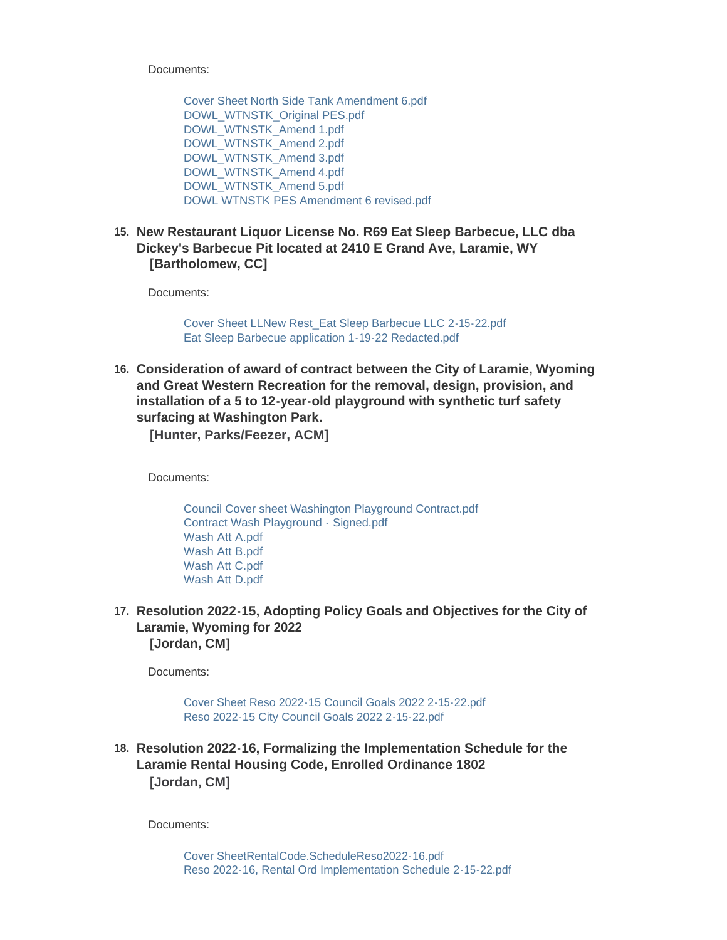Documents:

[Cover Sheet North Side Tank Amendment 6.pdf](https://cityoflaramie.org/AgendaCenter/ViewFile/Item/11882?fileID=15927) [DOWL\\_WTNSTK\\_Original PES.pdf](https://cityoflaramie.org/AgendaCenter/ViewFile/Item/11882?fileID=15928) [DOWL\\_WTNSTK\\_Amend 1.pdf](https://cityoflaramie.org/AgendaCenter/ViewFile/Item/11882?fileID=15929) [DOWL\\_WTNSTK\\_Amend 2.pdf](https://cityoflaramie.org/AgendaCenter/ViewFile/Item/11882?fileID=15930) [DOWL\\_WTNSTK\\_Amend 3.pdf](https://cityoflaramie.org/AgendaCenter/ViewFile/Item/11882?fileID=15931) [DOWL\\_WTNSTK\\_Amend 4.pdf](https://cityoflaramie.org/AgendaCenter/ViewFile/Item/11882?fileID=15932) [DOWL\\_WTNSTK\\_Amend 5.pdf](https://cityoflaramie.org/AgendaCenter/ViewFile/Item/11882?fileID=15933) [DOWL WTNSTK PES Amendment 6 revised.pdf](https://cityoflaramie.org/AgendaCenter/ViewFile/Item/11882?fileID=15934)

**New Restaurant Liquor License No. R69 Eat Sleep Barbecue, LLC dba 15. Dickey's Barbecue Pit located at 2410 E Grand Ave, Laramie, WY [Bartholomew, CC]**

Documents:

[Cover Sheet LLNew Rest\\_Eat Sleep Barbecue LLC 2-15-22.pdf](https://cityoflaramie.org/AgendaCenter/ViewFile/Item/11860?fileID=16006) [Eat Sleep Barbecue application 1-19-22 Redacted.pdf](https://cityoflaramie.org/AgendaCenter/ViewFile/Item/11860?fileID=15915)

**Consideration of award of contract between the City of Laramie, Wyoming 16. and Great Western Recreation for the removal, design, provision, and installation of a 5 to 12-year-old playground with synthetic turf safety surfacing at Washington Park.**

**[Hunter, Parks/Feezer, ACM]**

Documents:

[Council Cover sheet Washington Playground Contract.pdf](https://cityoflaramie.org/AgendaCenter/ViewFile/Item/11887?fileID=15944) [Contract Wash Playground - Signed.pdf](https://cityoflaramie.org/AgendaCenter/ViewFile/Item/11887?fileID=15945) [Wash Att A.pdf](https://cityoflaramie.org/AgendaCenter/ViewFile/Item/11887?fileID=15946) [Wash Att B.pdf](https://cityoflaramie.org/AgendaCenter/ViewFile/Item/11887?fileID=15947) [Wash Att C.pdf](https://cityoflaramie.org/AgendaCenter/ViewFile/Item/11887?fileID=15948) [Wash Att D.pdf](https://cityoflaramie.org/AgendaCenter/ViewFile/Item/11887?fileID=15949)

**Resolution 2022-15, Adopting Policy Goals and Objectives for the City of 17. Laramie, Wyoming for 2022 [Jordan, CM]**

Documents:

[Cover Sheet Reso 2022-15 Council Goals 2022 2-15-22.pdf](https://cityoflaramie.org/AgendaCenter/ViewFile/Item/11889?fileID=15986) [Reso 2022-15 City Council Goals 2022 2-15-22.pdf](https://cityoflaramie.org/AgendaCenter/ViewFile/Item/11889?fileID=15990)

**Resolution 2022-16, Formalizing the Implementation Schedule for the 18. Laramie Rental Housing Code, Enrolled Ordinance 1802 [Jordan, CM]**

Documents: